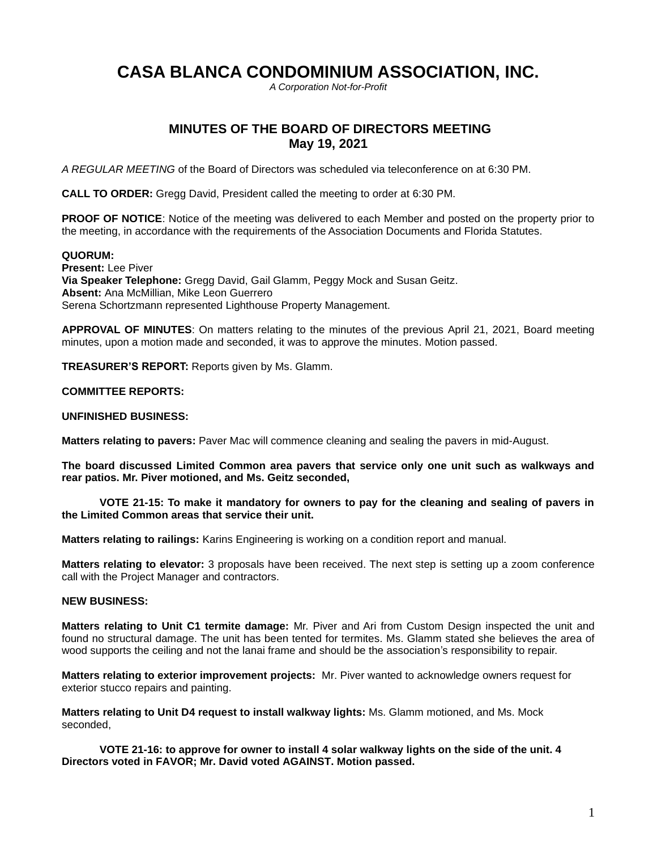# **CASA BLANCA CONDOMINIUM ASSOCIATION, INC.**

*A Corporation Not-for-Profit*

# **MINUTES OF THE BOARD OF DIRECTORS MEETING May 19, 2021**

*A REGULAR MEETING* of the Board of Directors was scheduled via teleconference on at 6:30 PM.

**CALL TO ORDER:** Gregg David, President called the meeting to order at 6:30 PM.

**PROOF OF NOTICE:** Notice of the meeting was delivered to each Member and posted on the property prior to the meeting, in accordance with the requirements of the Association Documents and Florida Statutes.

### **QUORUM:**

**Present:** Lee Piver **Via Speaker Telephone:** Gregg David, Gail Glamm, Peggy Mock and Susan Geitz. **Absent:** Ana McMillian, Mike Leon Guerrero Serena Schortzmann represented Lighthouse Property Management.

**APPROVAL OF MINUTES**: On matters relating to the minutes of the previous April 21, 2021, Board meeting minutes, upon a motion made and seconded, it was to approve the minutes. Motion passed.

**TREASURER'S REPORT:** Reports given by Ms. Glamm.

#### **COMMITTEE REPORTS:**

#### **UNFINISHED BUSINESS:**

**Matters relating to pavers:** Paver Mac will commence cleaning and sealing the pavers in mid-August.

**The board discussed Limited Common area pavers that service only one unit such as walkways and rear patios. Mr. Piver motioned, and Ms. Geitz seconded,**

#### **VOTE 21-15: To make it mandatory for owners to pay for the cleaning and sealing of pavers in the Limited Common areas that service their unit.**

**Matters relating to railings:** Karins Engineering is working on a condition report and manual.

**Matters relating to elevator:** 3 proposals have been received. The next step is setting up a zoom conference call with the Project Manager and contractors.

# **NEW BUSINESS:**

**Matters relating to Unit C1 termite damage:** Mr. Piver and Ari from Custom Design inspected the unit and found no structural damage. The unit has been tented for termites. Ms. Glamm stated she believes the area of wood supports the ceiling and not the lanai frame and should be the association's responsibility to repair.

**Matters relating to exterior improvement projects:** Mr. Piver wanted to acknowledge owners request for exterior stucco repairs and painting.

**Matters relating to Unit D4 request to install walkway lights:** Ms. Glamm motioned, and Ms. Mock seconded,

**VOTE 21-16: to approve for owner to install 4 solar walkway lights on the side of the unit. 4 Directors voted in FAVOR; Mr. David voted AGAINST. Motion passed.**